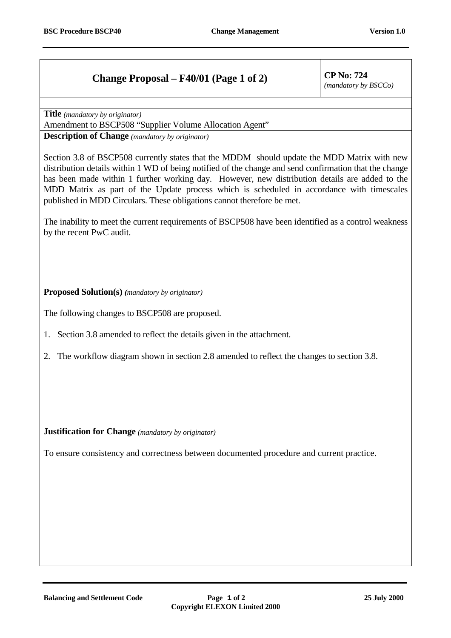## **Change Proposal – F40/01 (Page 1 of 2) CP No: 724**

*(mandatory by BSCCo)*

**Title** *(mandatory by originator)*

Amendment to BSCP508 "Supplier Volume Allocation Agent"

**Description of Change** *(mandatory by originator)*

Section 3.8 of BSCP508 currently states that the MDDM should update the MDD Matrix with new distribution details within 1 WD of being notified of the change and send confirmation that the change has been made within 1 further working day. However, new distribution details are added to the MDD Matrix as part of the Update process which is scheduled in accordance with timescales published in MDD Circulars. These obligations cannot therefore be met.

The inability to meet the current requirements of BSCP508 have been identified as a control weakness by the recent PwC audit.

**Proposed Solution(s)** *(mandatory by originator)*

The following changes to BSCP508 are proposed.

- 1. Section 3.8 amended to reflect the details given in the attachment.
- 2. The workflow diagram shown in section 2.8 amended to reflect the changes to section 3.8.

**Justification for Change** *(mandatory by originator)*

To ensure consistency and correctness between documented procedure and current practice.